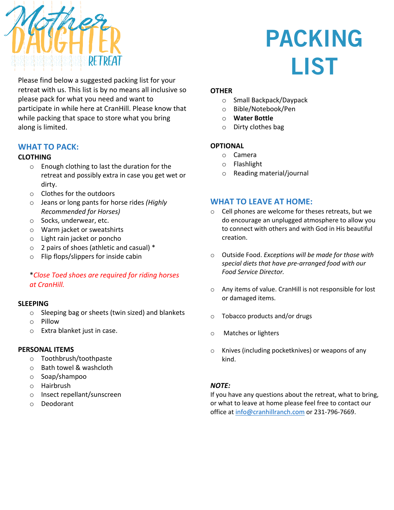

# PACKING LIST

Please find below a suggested packing list for your retreat with us. This list is by no means all inclusive so please pack for what you need and want to participate in while here at CranHill. Please know that while packing that space to store what you bring along is limited.

# **WHAT TO PACK:**

# **CLOTHING**

- o Enough clothing to last the duration for the retreat and possibly extra in case you get wet or dirty.
- o Clothes for the outdoors
- o Jeans or long pants for horse rides *(Highly Recommended for Horses)*
- o Socks, underwear, etc.
- o Warm jacket or sweatshirts
- o Light rain jacket or poncho
- o 2 pairs of shoes (athletic and casual) \*
- o Flip flops/slippers for inside cabin

# \**Close Toed shoes are required for riding horses at CranHill.*

# **SLEEPING**

- o Sleeping bag or sheets (twin sized) and blankets
- o Pillow
- o Extra blanket just in case.

#### **PERSONAL ITEMS**

- o Toothbrush/toothpaste
- o Bath towel & washcloth
- o Soap/shampoo
- o Hairbrush
- o Insect repellant/sunscreen
- o Deodorant

#### **OTHER**

- o Small Backpack/Daypack
- o Bible/Notebook/Pen
- o **Water Bottle**
- o Dirty clothes bag

# **OPTIONAL**

- o Camera
- o Flashlight
- o Reading material/journal

# **WHAT TO LEAVE AT HOME:**

- o Cell phones are welcome for theses retreats, but we do encourage an unplugged atmosphere to allow you to connect with others and with God in His beautiful creation.
- o Outside Food. *Exceptions will be made for those with special diets that have pre-arranged food with our Food Service Director.*
- o Any items of value. CranHill is not responsible for lost or damaged items.
- o Tobacco products and/or drugs
- o Matches or lighters
- o Knives (including pocketknives) or weapons of any kind.

# *NOTE:*

If you have any questions about the retreat, what to bring, or what to leave at home please feel free to contact our office at info@cranhillranch.com or 231-796-7669.